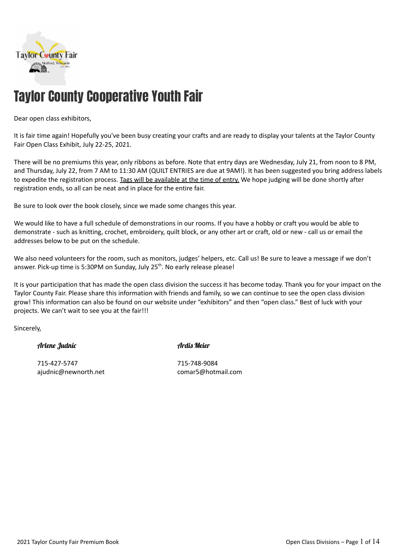

# Taylor County Cooperative Youth Fair

#### Dear open class exhibitors,

It is fair time again! Hopefully you've been busy creating your crafts and are ready to display your talents at the Taylor County Fair Open Class Exhibit, July 22-25, 2021.

There will be no premiums this year, only ribbons as before. Note that entry days are Wednesday, July 21, from noon to 8 PM, and Thursday, July 22, from 7 AM to 11:30 AM (QUILT ENTRIES are due at 9AM!). It has been suggested you bring address labels to expedite the registration process. Tags will be available at the time of entry. We hope judging will be done shortly after registration ends, so all can be neat and in place for the entire fair.

Be sure to look over the book closely, since we made some changes this year.

We would like to have a full schedule of demonstrations in our rooms. If you have a hobby or craft you would be able to demonstrate - such as knitting, crochet, embroidery, quilt block, or any other art or craft, old or new - call us or email the addresses below to be put on the schedule.

We also need volunteers for the room, such as monitors, judges' helpers, etc. Call us! Be sure to leave a message if we don't answer. Pick-up time is 5:30PM on Sunday, July 25<sup>th</sup>. No early release please!

It is your participation that has made the open class division the success it has become today. Thank you for your impact on the Taylor County Fair. Please share this information with friends and family, so we can continue to see the open class division grow! This information can also be found on our website under "exhibitors" and then "open class." Best of luck with your projects. We can't wait to see you at the fair!!!

Sincerely,

#### Arlene Judnic Ardis Meier

715-427-5747 715-748-9084

ajudnic@newnorth.net comar5@hotmail.com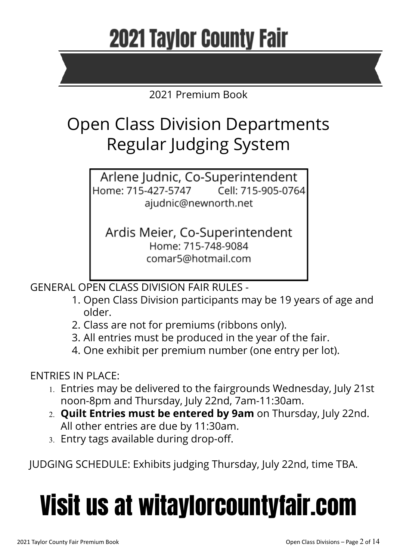# **2021 Taylor County Fair**

# 2021 Premium Book

# Open Class Division Departments Regular Judging System

Arlene Judnic, Co-Superintendent Home: 715-427-5747 Cell: 715-905-0764 ajudnic@newnorth.net

Ardis Meier, Co-Superintendent Home: 715-748-9084 comar5@hotmail.com

GENERAL OPEN CLASS DIVISION FAIR RULES -

- 1. Open Class Division participants may be 19 years of age and older.
- 2. Class are not for premiums (ribbons only).
- 3. All entries must be produced in the year of the fair.
- 4. One exhibit per premium number (one entry per lot).

# ENTRIES IN PLACE:

- 1. Entries may be delivered to the fairgrounds Wednesday, July 21st noon-8pm and Thursday, July 22nd, 7am-11:30am.
- 2. **Quilt Entries must be entered by 9am** on Thursday, July 22nd. All other entries are due by 11:30am.
- 3. Entry tags available during drop-off.

JUDGING SCHEDULE: Exhibits judging Thursday, July 22nd, time TBA.

# Visit us at witaylorcountyfair.com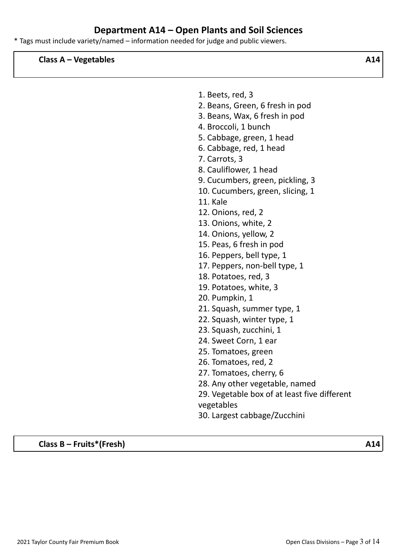# **Department A14 – Open Plants and Soil Sciences**

\* Tags must include variety/named – information needed for judge and public viewers.

**Class A – Vegetables A14**

| 1. Beets, red, 3                             |
|----------------------------------------------|
| 2. Beans, Green, 6 fresh in pod              |
| 3. Beans, Wax, 6 fresh in pod                |
| 4. Broccoli, 1 bunch                         |
| 5. Cabbage, green, 1 head                    |
| 6. Cabbage, red, 1 head                      |
| 7. Carrots, 3                                |
| 8. Cauliflower, 1 head                       |
| 9. Cucumbers, green, pickling, 3             |
| 10. Cucumbers, green, slicing, 1             |
| 11. Kale                                     |
| 12. Onions, red, 2                           |
| 13. Onions, white, 2                         |
| 14. Onions, yellow, 2                        |
| 15. Peas, 6 fresh in pod                     |
| 16. Peppers, bell type, 1                    |
| 17. Peppers, non-bell type, 1                |
| 18. Potatoes, red, 3                         |
| 19. Potatoes, white, 3                       |
| 20. Pumpkin, 1                               |
| 21. Squash, summer type, 1                   |
| 22. Squash, winter type, 1                   |
| 23. Squash, zucchini, 1                      |
| 24. Sweet Corn, 1 ear                        |
| 25. Tomatoes, green                          |
| 26. Tomatoes, red, 2                         |
| 27. Tomatoes, cherry, 6                      |
| 28. Any other vegetable, named               |
| 29. Vegetable box of at least five different |
| vegetables                                   |
| 30. Largest cabbage/Zucchini                 |
|                                              |

**Class B – Fruits\*(Fresh) A14**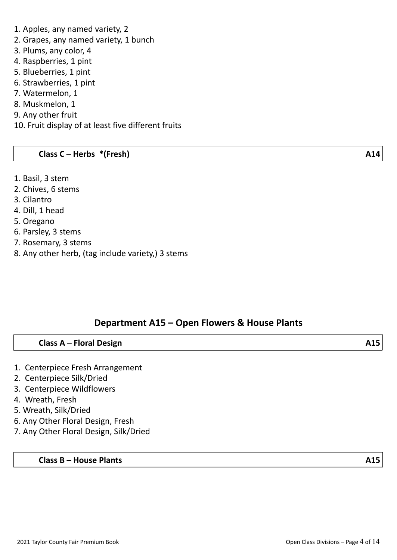#### 1. Apples, any named variety, 2

- 2. Grapes, any named variety, 1 bunch
- 3. Plums, any color, 4
- 4. Raspberries, 1 pint
- 5. Blueberries, 1 pint
- 6. Strawberries, 1 pint
- 7. Watermelon, 1
- 8. Muskmelon, 1
- 9. Any other fruit
- 10. Fruit display of at least five different fruits

#### **Class C – Herbs \*(Fresh) A14**

- 1. Basil, 3 stem
- 2. Chives, 6 stems
- 3. Cilantro
- 4. Dill, 1 head
- 5. Oregano
- 6. Parsley, 3 stems
- 7. Rosemary, 3 stems
- 8. Any other herb, (tag include variety,) 3 stems

#### **Department A15 – Open Flowers & House Plants**

#### **Class A – Floral Design A15**

- 1. Centerpiece Fresh Arrangement
- 2. Centerpiece Silk/Dried
- 3. Centerpiece Wildflowers
- 4. Wreath, Fresh
- 5. Wreath, Silk/Dried
- 6. Any Other Floral Design, Fresh
- 7. Any Other Floral Design, Silk/Dried

#### **Class B – House Plants A15**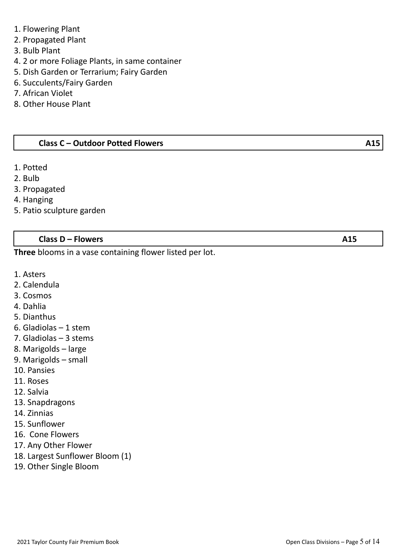- 1. Flowering Plant
- 2. Propagated Plant
- 3. Bulb Plant
- 4. 2 or more Foliage Plants, in same container
- 5. Dish Garden or Terrarium; Fairy Garden
- 6. Succulents/Fairy Garden
- 7. African Violet
- 8. Other House Plant

#### **Class C – Outdoor Potted Flowers A15**

- 1. Potted
- 2. Bulb
- 3. Propagated
- 4. Hanging
- 5. Patio sculpture garden

#### **Class D – Flowers A15**

**Three** blooms in a vase containing flower listed per lot.

- 1. Asters
- 2. Calendula
- 3. Cosmos
- 4. Dahlia
- 5. Dianthus
- 6. Gladiolas 1 stem
- 7. Gladiolas 3 stems
- 8. Marigolds large
- 9. Marigolds small
- 10. Pansies
- 11. Roses
- 12. Salvia
- 13. Snapdragons
- 14. Zinnias
- 15. Sunflower
- 16. Cone Flowers
- 17. Any Other Flower
- 18. Largest Sunflower Bloom (1)
- 19. Other Single Bloom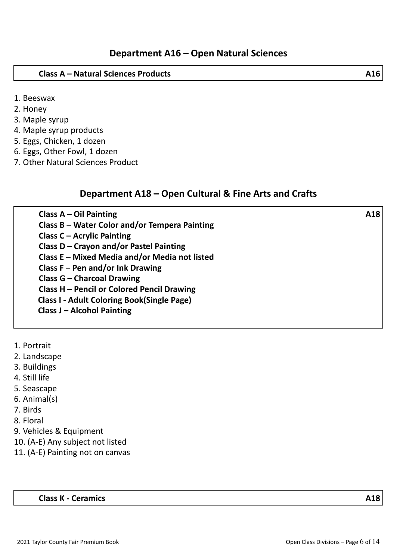#### **Class A – Natural Sciences Products A16**

- 1. Beeswax
- 2. Honey
- 3. Maple syrup
- 4. Maple syrup products
- 5. Eggs, Chicken, 1 dozen
- 6. Eggs, Other Fowl, 1 dozen
- 7. Other Natural Sciences Product

#### **Department A18 – Open Cultural & Fine Arts and Crafts**

| Class $A - Oil$ Painting                          | A18 |
|---------------------------------------------------|-----|
| Class B – Water Color and/or Tempera Painting     |     |
| <b>Class C - Acrylic Painting</b>                 |     |
| Class D - Crayon and/or Pastel Painting           |     |
| Class E - Mixed Media and/or Media not listed     |     |
| Class $F - Pen$ and/or Ink Drawing                |     |
| <b>Class G - Charcoal Drawing</b>                 |     |
| Class H - Pencil or Colored Pencil Drawing        |     |
| <b>Class I - Adult Coloring Book(Single Page)</b> |     |
| <b>Class J - Alcohol Painting</b>                 |     |
|                                                   |     |

- 1. Portrait
- 2. Landscape
- 3. Buildings
- 4. Still life
- 5. Seascape
- 6. Animal(s)
- 7. Birds
- 8. Floral
- 9. Vehicles & Equipment
- 10. (A-E) Any subject not listed
- 11. (A-E) Painting not on canvas

#### **Class K - Ceramics A18**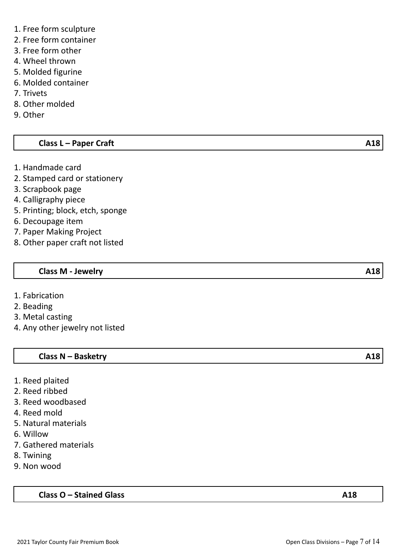- 1. Free form sculpture
- 2. Free form container
- 3. Free form other
- 4. Wheel thrown
- 5. Molded figurine
- 6. Molded container
- 7. Trivets
- 8. Other molded
- 9. Other

## **Class L – Paper Craft A18**

- 1. Handmade card
- 2. Stamped card or stationery
- 3. Scrapbook page
- 4. Calligraphy piece
- 5. Printing; block, etch, sponge
- 6. Decoupage item
- 7. Paper Making Project
- 8. Other paper craft not listed

#### **Class M - Jewelry A18**

- 1. Fabrication
- 2. Beading
- 3. Metal casting
- 4. Any other jewelry not listed

#### **Class N – Basketry A18**

- 1. Reed plaited
- 2. Reed ribbed
- 3. Reed woodbased
- 4. Reed mold
- 5. Natural materials
- 6. Willow
- 7. Gathered materials
- 8. Twining
- 9. Non wood

**Class O – Stained Glass A18**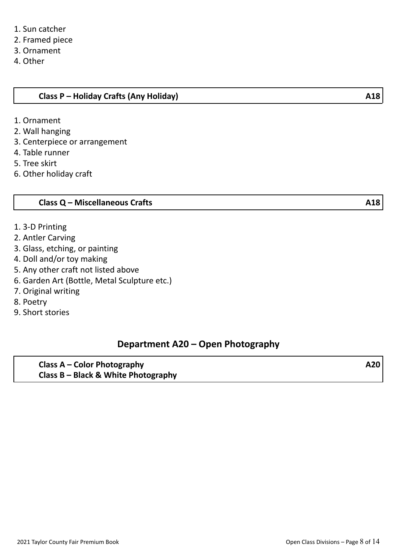- 2. Framed piece
- 3. Ornament
- 4. Other

#### **Class P – Holiday Crafts (Any Holiday) A18**

- 1. Ornament
- 2. Wall hanging
- 3. Centerpiece or arrangement
- 4. Table runner
- 5. Tree skirt
- 6. Other holiday craft

#### **Class Q – Miscellaneous Crafts A18**

- 1. 3-D Printing
- 2. Antler Carving
- 3. Glass, etching, or painting
- 4. Doll and/or toy making
- 5. Any other craft not listed above
- 6. Garden Art (Bottle, Metal Sculpture etc.)
- 7. Original writing
- 8. Poetry
- 9. Short stories

#### **Department A20 – Open Photography**

**Class A – Color Photography A20 Class B – Black & White Photography**

2021 Taylor County Fair Premium Book 2021 Taylor County Fair Premium Book 2021 Taylor County Fair Premium Book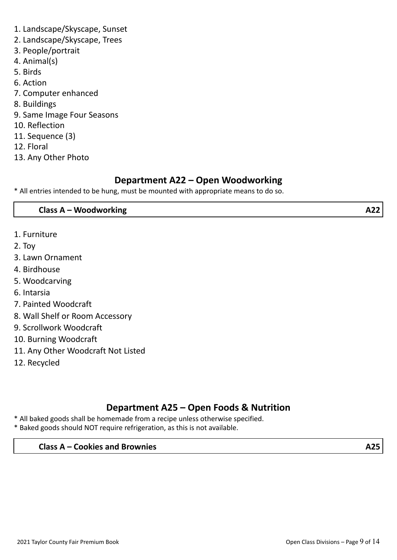- 1. Landscape/Skyscape, Sunset
- 2. Landscape/Skyscape, Trees
- 3. People/portrait
- 4. Animal(s)
- 5. Birds
- 6. Action
- 7. Computer enhanced
- 8. Buildings
- 9. Same Image Four Seasons
- 10. Reflection
- 11. Sequence (3)
- 12. Floral
- 13. Any Other Photo

# **Department A22 – Open Woodworking**

\* All entries intended to be hung, must be mounted with appropriate means to do so.

#### **Class A – Woodworking A22**

- 1. Furniture
- 2. Toy
- 3. Lawn Ornament
- 4. Birdhouse
- 5. Woodcarving
- 6. Intarsia
- 7. Painted Woodcraft
- 8. Wall Shelf or Room Accessory
- 9. Scrollwork Woodcraft
- 10. Burning Woodcraft
- 11. Any Other Woodcraft Not Listed
- 12. Recycled

# **Department A25 – Open Foods & Nutrition**

- \* All baked goods shall be homemade from a recipe unless otherwise specified.
- \* Baked goods should NOT require refrigeration, as this is not available.

#### **Class A – Cookies and Brownies A25**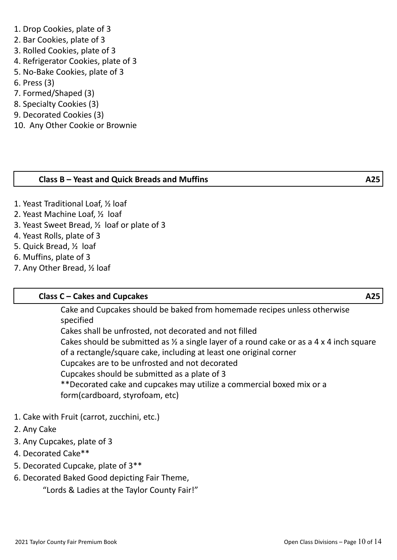### 1. Drop Cookies, plate of 3

- 2. Bar Cookies, plate of 3
- 3. Rolled Cookies, plate of 3
- 4. Refrigerator Cookies, plate of 3
- 5. No-Bake Cookies, plate of 3
- 6. Press (3)
- 7. Formed/Shaped (3)
- 8. Specialty Cookies (3)
- 9. Decorated Cookies (3)
- 10. Any Other Cookie or Brownie

## **Class B – Yeast and Quick Breads and Muffins A25**

- 1. Yeast Traditional Loaf, ½ loaf
- 2. Yeast Machine Loaf, ½ loaf
- 3. Yeast Sweet Bread, ½ loaf or plate of 3
- 4. Yeast Rolls, plate of 3
- 5. Quick Bread, ½ loaf
- 6. Muffins, plate of 3
- 7. Any Other Bread, ½ loaf

# **Class C – Cakes and Cupcakes A25**

Cake and Cupcakes should be baked from homemade recipes unless otherwise specified

Cakes shall be unfrosted, not decorated and not filled Cakes should be submitted as ½ a single layer of a round cake or as a 4 x 4 inch square of a rectangle/square cake, including at least one original corner Cupcakes are to be unfrosted and not decorated Cupcakes should be submitted as a plate of 3 \*\*Decorated cake and cupcakes may utilize a commercial boxed mix or a form(cardboard, styrofoam, etc)

- 1. Cake with Fruit (carrot, zucchini, etc.)
- 2. Any Cake
- 3. Any Cupcakes, plate of 3
- 4. Decorated Cake\*\*
- 5. Decorated Cupcake, plate of 3\*\*
- 6. Decorated Baked Good depicting Fair Theme,

"Lords & Ladies at the Taylor County Fair!"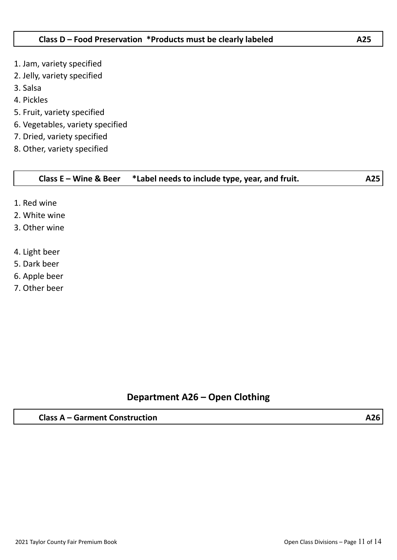- 1. Jam, variety specified
- 2. Jelly, variety specified
- 3. Salsa
- 4. Pickles
- 5. Fruit, variety specified
- 6. Vegetables, variety specified
- 7. Dried, variety specified
- 8. Other, variety specified

#### **Class E – Wine & Beer \*Label needs to include type, year, and fruit. A25**

- 1. Red wine
- 2. White wine
- 3. Other wine
- 4. Light beer
- 5. Dark beer
- 6. Apple beer
- 7. Other beer

# **Department A26 – Open Clothing**

#### **Class A – Garment Construction A26**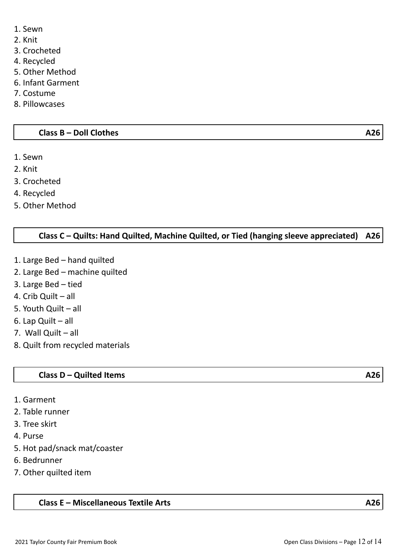- 1. Sewn
- 2. Knit
- 3. Crocheted
- 4. Recycled
- 5. Other Method
- 6. Infant Garment
- 7. Costume
- 8. Pillowcases

#### **Class B – Doll Clothes A26**

- 1. Sewn
- 2. Knit
- 3. Crocheted
- 4. Recycled
- 5. Other Method

#### **Class C – Quilts: Hand Quilted, Machine Quilted, or Tied (hanging sleeve appreciated) A26**

- 1. Large Bed hand quilted
- 2. Large Bed machine quilted
- 3. Large Bed tied
- 4. Crib Quilt all
- 5. Youth Quilt all
- 6. Lap Quilt all
- 7. Wall Quilt all
- 8. Quilt from recycled materials

#### **Class D – Quilted Items A26**

- 1. Garment
- 2. Table runner
- 3. Tree skirt
- 4. Purse
- 5. Hot pad/snack mat/coaster
- 6. Bedrunner
- 7. Other quilted item

#### **Class E – Miscellaneous Textile Arts A26**

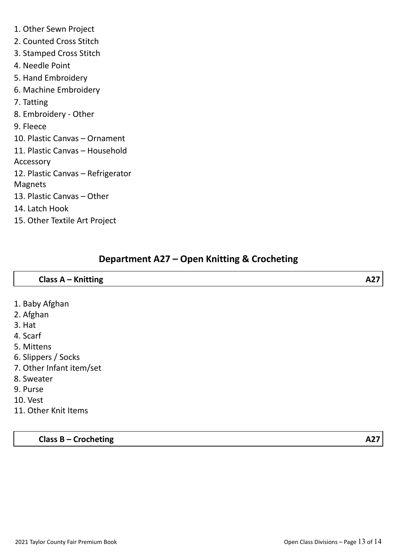- 1. Other Sewn Project
- 2. Counted Cross Stitch
- 3. Stamped Cross Stitch
- 4. Needle Point
- 5. Hand Embroidery
- 6. Machine Embroidery
- 7. Tatting
- 8. Embroidery Other
- 9. Fleece
- 10. Plastic Canvas Ornament
- 11. Plastic Canvas Household
- Accessory
- 12. Plastic Canvas Refrigerator
- Magnets
- 13. Plastic Canvas Other
- 14. Latch Hook
- 15. Other Textile Art Project

# **Department A27 – Open Knitting & Crocheting**

| Class A - Knitting       | A27 |
|--------------------------|-----|
|                          |     |
| 1. Baby Afghan           |     |
| 2. Afghan                |     |
| 3. Hat                   |     |
| 4. Scarf                 |     |
| 5. Mittens               |     |
| 6. Slippers / Socks      |     |
| 7. Other Infant item/set |     |
| 8. Sweater               |     |
| 9. Purse                 |     |
| 10. Vest                 |     |

11. Other Knit Items

**Class B – Crocheting A27**